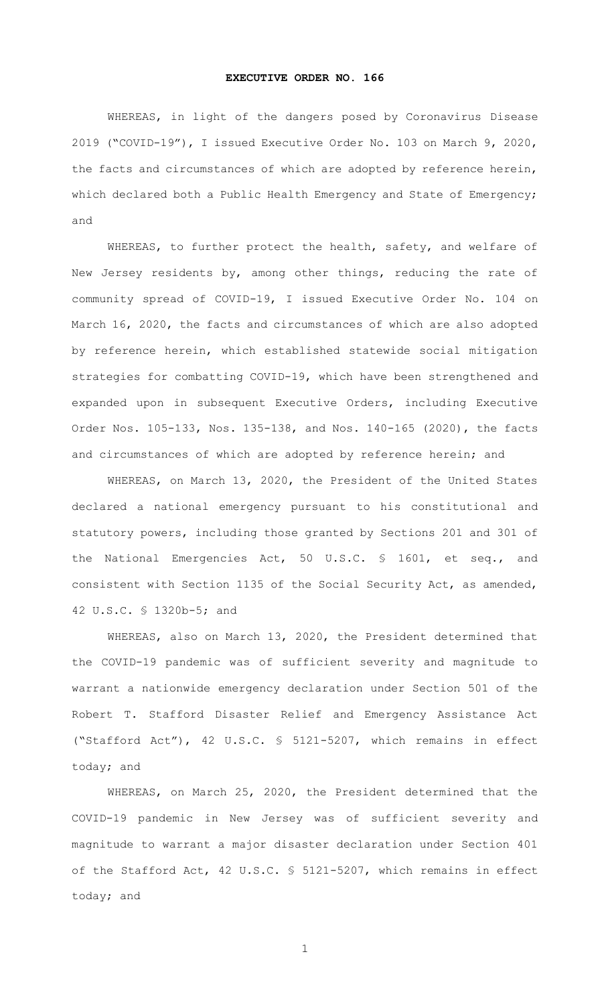## **EXECUTIVE ORDER NO. 166**

WHEREAS, in light of the dangers posed by Coronavirus Disease 2019 ("COVID-19"), I issued Executive Order No. 103 on March 9, 2020, the facts and circumstances of which are adopted by reference herein, which declared both a Public Health Emergency and State of Emergency; and

WHEREAS, to further protect the health, safety, and welfare of New Jersey residents by, among other things, reducing the rate of community spread of COVID-19, I issued Executive Order No. 104 on March 16, 2020, the facts and circumstances of which are also adopted by reference herein, which established statewide social mitigation strategies for combatting COVID-19, which have been strengthened and expanded upon in subsequent Executive Orders, including Executive Order Nos. 105-133, Nos. 135-138, and Nos. 140-165 (2020), the facts and circumstances of which are adopted by reference herein; and

WHEREAS, on March 13, 2020, the President of the United States declared a national emergency pursuant to his constitutional and statutory powers, including those granted by Sections 201 and 301 of the National Emergencies Act, 50 U.S.C. § 1601, et seq., and consistent with Section 1135 of the Social Security Act, as amended, 42 U.S.C. § 1320b-5; and

WHEREAS, also on March 13, 2020, the President determined that the COVID-19 pandemic was of sufficient severity and magnitude to warrant a nationwide emergency declaration under Section 501 of the Robert T. Stafford Disaster Relief and Emergency Assistance Act ("Stafford Act"), 42 U.S.C. § 5121-5207, which remains in effect today; and

WHEREAS, on March 25, 2020, the President determined that the COVID-19 pandemic in New Jersey was of sufficient severity and magnitude to warrant a major disaster declaration under Section 401 of the Stafford Act, 42 U.S.C. § 5121-5207, which remains in effect today; and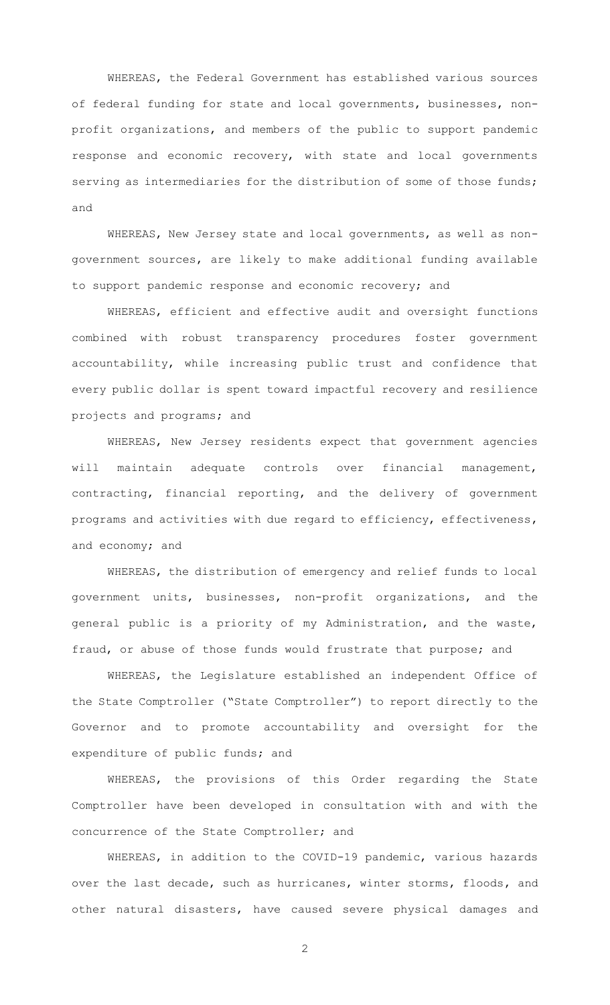WHEREAS, the Federal Government has established various sources of federal funding for state and local governments, businesses, nonprofit organizations, and members of the public to support pandemic response and economic recovery, with state and local governments serving as intermediaries for the distribution of some of those funds; and

WHEREAS, New Jersey state and local governments, as well as nongovernment sources, are likely to make additional funding available to support pandemic response and economic recovery; and

WHEREAS, efficient and effective audit and oversight functions combined with robust transparency procedures foster government accountability, while increasing public trust and confidence that every public dollar is spent toward impactful recovery and resilience projects and programs; and

WHEREAS, New Jersey residents expect that government agencies will maintain adequate controls over financial management, contracting, financial reporting, and the delivery of government programs and activities with due regard to efficiency, effectiveness, and economy; and

WHEREAS, the distribution of emergency and relief funds to local government units, businesses, non-profit organizations, and the general public is a priority of my Administration, and the waste, fraud, or abuse of those funds would frustrate that purpose; and

WHEREAS, the Legislature established an independent Office of the State Comptroller ("State Comptroller") to report directly to the Governor and to promote accountability and oversight for the expenditure of public funds; and

WHEREAS, the provisions of this Order regarding the State Comptroller have been developed in consultation with and with the concurrence of the State Comptroller; and

WHEREAS, in addition to the COVID-19 pandemic, various hazards over the last decade, such as hurricanes, winter storms, floods, and other natural disasters, have caused severe physical damages and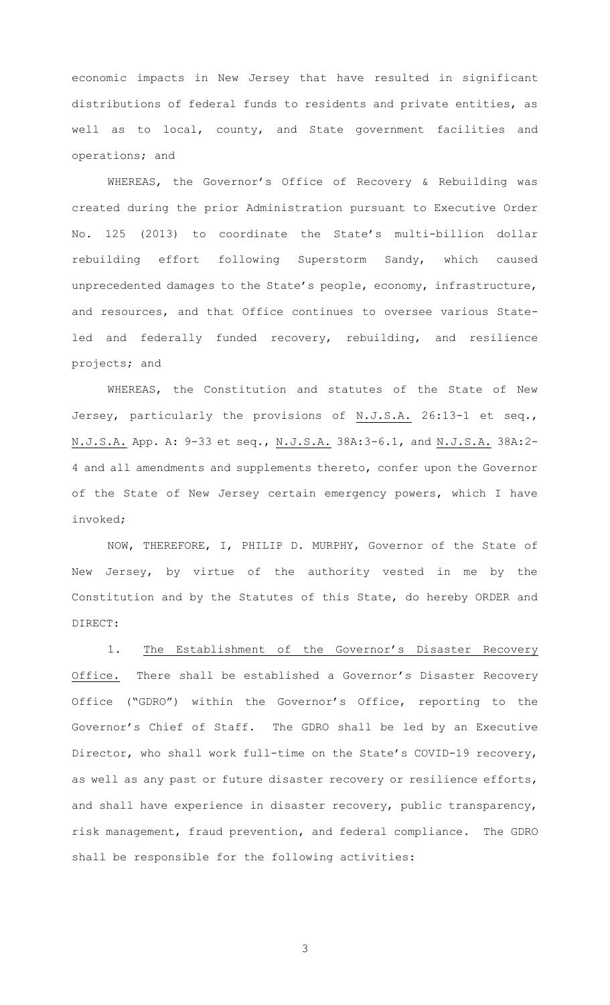economic impacts in New Jersey that have resulted in significant distributions of federal funds to residents and private entities, as well as to local, county, and State government facilities and operations; and

WHEREAS, the Governor's Office of Recovery & Rebuilding was created during the prior Administration pursuant to Executive Order No. 125 (2013) to coordinate the State's multi-billion dollar rebuilding effort following Superstorm Sandy, which caused unprecedented damages to the State's people, economy, infrastructure, and resources, and that Office continues to oversee various Stateled and federally funded recovery, rebuilding, and resilience projects; and

WHEREAS, the Constitution and statutes of the State of New Jersey, particularly the provisions of N.J.S.A. 26:13-1 et seq., N.J.S.A. App. A: 9-33 et seq., N.J.S.A. 38A:3-6.1, and N.J.S.A. 38A:2- 4 and all amendments and supplements thereto, confer upon the Governor of the State of New Jersey certain emergency powers, which I have invoked;

NOW, THEREFORE, I, PHILIP D. MURPHY, Governor of the State of New Jersey, by virtue of the authority vested in me by the Constitution and by the Statutes of this State, do hereby ORDER and DIRECT:

1. The Establishment of the Governor's Disaster Recovery Office. There shall be established a Governor's Disaster Recovery Office ("GDRO") within the Governor's Office, reporting to the Governor's Chief of Staff. The GDRO shall be led by an Executive Director, who shall work full-time on the State's COVID-19 recovery, as well as any past or future disaster recovery or resilience efforts, and shall have experience in disaster recovery, public transparency, risk management, fraud prevention, and federal compliance. The GDRO shall be responsible for the following activities: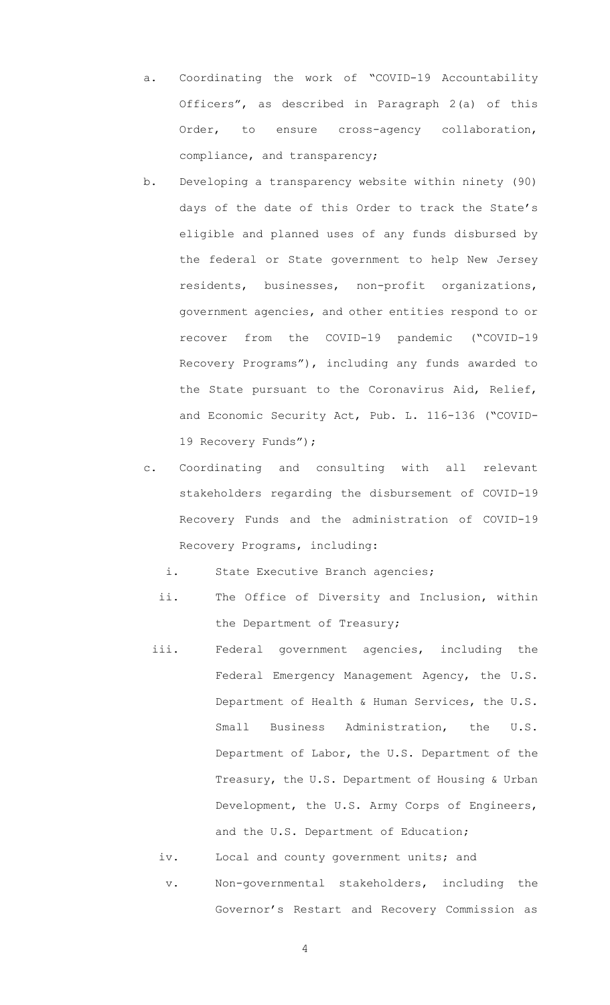- a. Coordinating the work of "COVID-19 Accountability Officers", as described in Paragraph 2(a) of this Order, to ensure cross-agency collaboration, compliance, and transparency;
- b. Developing a transparency website within ninety (90) days of the date of this Order to track the State's eligible and planned uses of any funds disbursed by the federal or State government to help New Jersey residents, businesses, non-profit organizations, government agencies, and other entities respond to or recover from the COVID-19 pandemic ("COVID-19 Recovery Programs"), including any funds awarded to the State pursuant to the Coronavirus Aid, Relief, and Economic Security Act, Pub. L. 116-136 ("COVID-19 Recovery Funds");
- c. Coordinating and consulting with all relevant stakeholders regarding the disbursement of COVID-19 Recovery Funds and the administration of COVID-19 Recovery Programs, including:
	- i. State Executive Branch agencies;
	- ii. The Office of Diversity and Inclusion, within the Department of Treasury;
	- iii. Federal government agencies, including the Federal Emergency Management Agency, the U.S. Department of Health & Human Services, the U.S. Small Business Administration, the U.S. Department of Labor, the U.S. Department of the Treasury, the U.S. Department of Housing & Urban Development, the U.S. Army Corps of Engineers, and the U.S. Department of Education;
		- iv. Local and county government units; and v. Non-governmental stakeholders, including the Governor's Restart and Recovery Commission as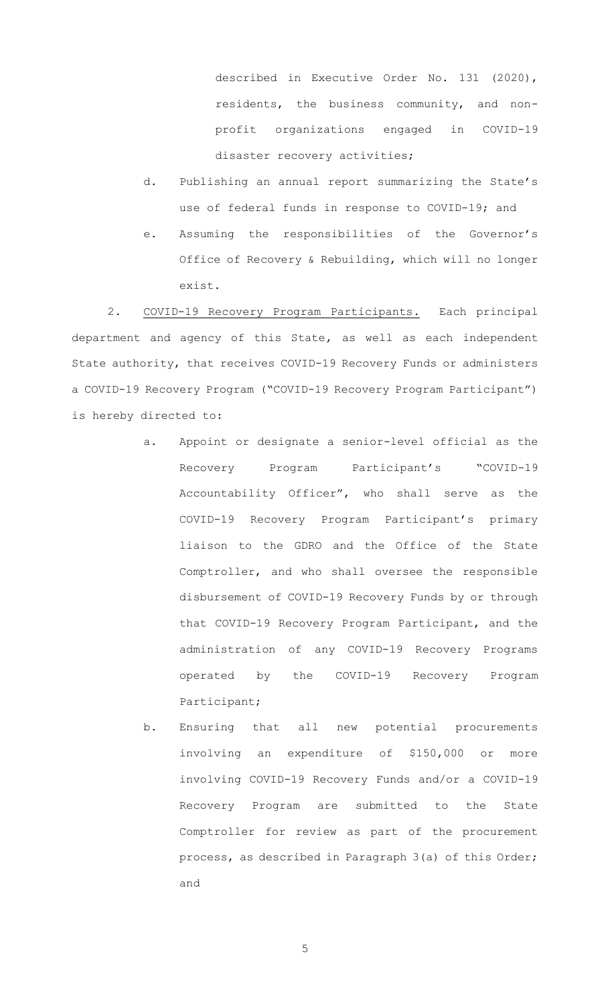described in Executive Order No. 131 (2020), residents, the business community, and nonprofit organizations engaged in COVID-19 disaster recovery activities;

- d. Publishing an annual report summarizing the State's use of federal funds in response to COVID-19; and
- e. Assuming the responsibilities of the Governor's Office of Recovery & Rebuilding, which will no longer exist.

2. COVID-19 Recovery Program Participants. Each principal department and agency of this State, as well as each independent State authority, that receives COVID-19 Recovery Funds or administers a COVID-19 Recovery Program ("COVID-19 Recovery Program Participant") is hereby directed to:

- a. Appoint or designate a senior-level official as the Recovery Program Participant's "COVID-19 Accountability Officer", who shall serve as the COVID-19 Recovery Program Participant's primary liaison to the GDRO and the Office of the State Comptroller, and who shall oversee the responsible disbursement of COVID-19 Recovery Funds by or through that COVID-19 Recovery Program Participant, and the administration of any COVID-19 Recovery Programs operated by the COVID-19 Recovery Program Participant;
- b. Ensuring that all new potential procurements involving an expenditure of \$150,000 or more involving COVID-19 Recovery Funds and/or a COVID-19 Recovery Program are submitted to the State Comptroller for review as part of the procurement process, as described in Paragraph 3(a) of this Order; and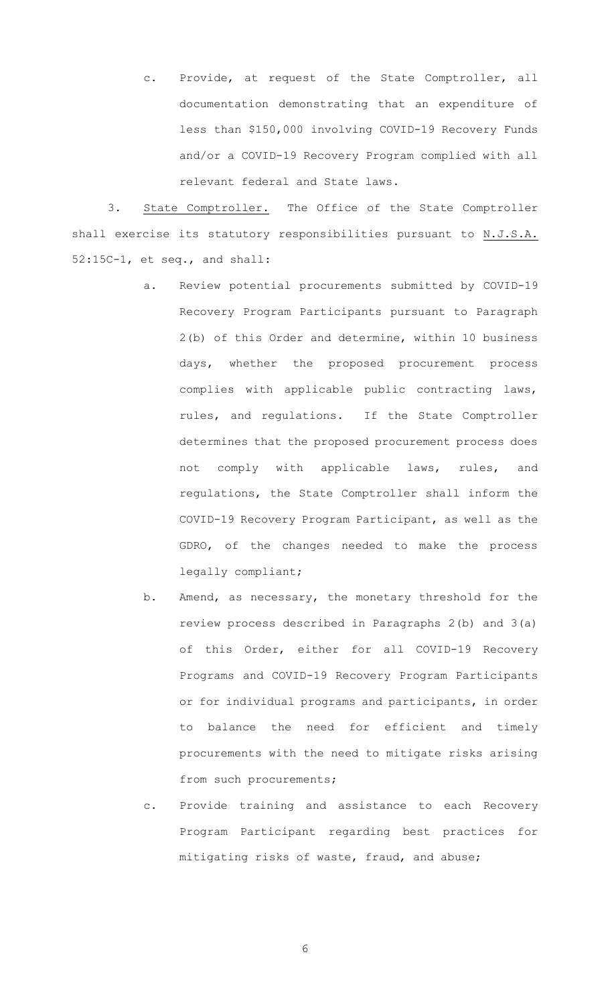c. Provide, at request of the State Comptroller, all documentation demonstrating that an expenditure of less than \$150,000 involving COVID-19 Recovery Funds and/or a COVID-19 Recovery Program complied with all relevant federal and State laws.

3. State Comptroller. The Office of the State Comptroller shall exercise its statutory responsibilities pursuant to N.J.S.A. 52:15C-1, et seq., and shall:

- a. Review potential procurements submitted by COVID-19 Recovery Program Participants pursuant to Paragraph 2(b) of this Order and determine, within 10 business days, whether the proposed procurement process complies with applicable public contracting laws, rules, and regulations. If the State Comptroller determines that the proposed procurement process does not comply with applicable laws, rules, and regulations, the State Comptroller shall inform the COVID-19 Recovery Program Participant, as well as the GDRO, of the changes needed to make the process legally compliant;
- b. Amend, as necessary, the monetary threshold for the review process described in Paragraphs 2(b) and 3(a) of this Order, either for all COVID-19 Recovery Programs and COVID-19 Recovery Program Participants or for individual programs and participants, in order to balance the need for efficient and timely procurements with the need to mitigate risks arising from such procurements;
- c. Provide training and assistance to each Recovery Program Participant regarding best practices for mitigating risks of waste, fraud, and abuse;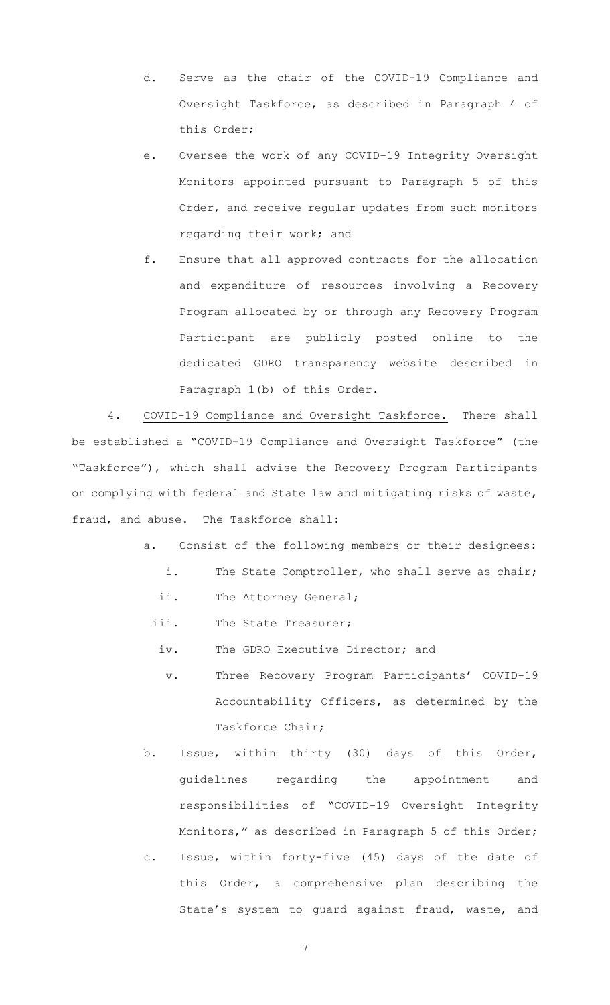- d. Serve as the chair of the COVID-19 Compliance and Oversight Taskforce, as described in Paragraph 4 of this Order;
- e. Oversee the work of any COVID-19 Integrity Oversight Monitors appointed pursuant to Paragraph 5 of this Order, and receive regular updates from such monitors regarding their work; and

f. Ensure that all approved contracts for the allocation and expenditure of resources involving a Recovery Program allocated by or through any Recovery Program Participant are publicly posted online to the dedicated GDRO transparency website described in Paragraph 1(b) of this Order.

4. COVID-19 Compliance and Oversight Taskforce. There shall be established a "COVID-19 Compliance and Oversight Taskforce" (the "Taskforce"), which shall advise the Recovery Program Participants on complying with federal and State law and mitigating risks of waste, fraud, and abuse. The Taskforce shall:

- a. Consist of the following members or their designees:
	- i. The State Comptroller, who shall serve as chair;
	- ii. The Attorney General;
	- iii. The State Treasurer;
		- iv. The GDRO Executive Director; and
		- v. Three Recovery Program Participants' COVID-19 Accountability Officers, as determined by the Taskforce Chair;
- b. Issue, within thirty (30) days of this Order, guidelines regarding the appointment and responsibilities of "COVID-19 Oversight Integrity Monitors," as described in Paragraph 5 of this Order;
- c. Issue, within forty-five (45) days of the date of this Order, a comprehensive plan describing the State's system to guard against fraud, waste, and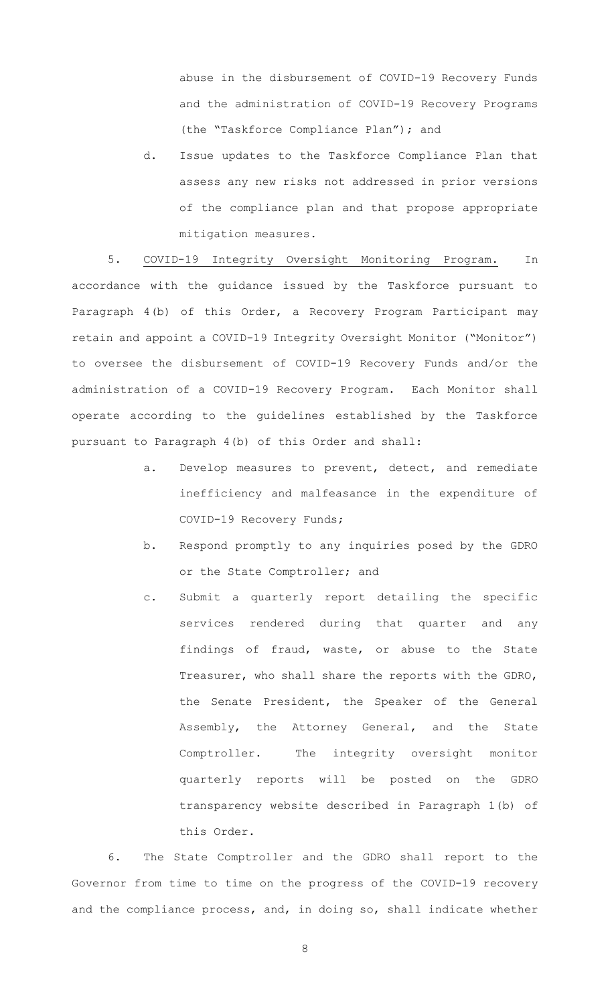abuse in the disbursement of COVID-19 Recovery Funds and the administration of COVID-19 Recovery Programs (the "Taskforce Compliance Plan"); and

d. Issue updates to the Taskforce Compliance Plan that assess any new risks not addressed in prior versions of the compliance plan and that propose appropriate mitigation measures.

5. COVID-19 Integrity Oversight Monitoring Program. In accordance with the guidance issued by the Taskforce pursuant to Paragraph 4(b) of this Order, a Recovery Program Participant may retain and appoint a COVID-19 Integrity Oversight Monitor ("Monitor") to oversee the disbursement of COVID-19 Recovery Funds and/or the administration of a COVID-19 Recovery Program. Each Monitor shall operate according to the guidelines established by the Taskforce pursuant to Paragraph 4(b) of this Order and shall:

- a. Develop measures to prevent, detect, and remediate inefficiency and malfeasance in the expenditure of COVID-19 Recovery Funds;
- b. Respond promptly to any inquiries posed by the GDRO or the State Comptroller; and
- c. Submit a quarterly report detailing the specific services rendered during that quarter and any findings of fraud, waste, or abuse to the State Treasurer, who shall share the reports with the GDRO, the Senate President, the Speaker of the General Assembly, the Attorney General, and the State Comptroller. The integrity oversight monitor quarterly reports will be posted on the GDRO transparency website described in Paragraph 1(b) of this Order.

6. The State Comptroller and the GDRO shall report to the Governor from time to time on the progress of the COVID-19 recovery and the compliance process, and, in doing so, shall indicate whether